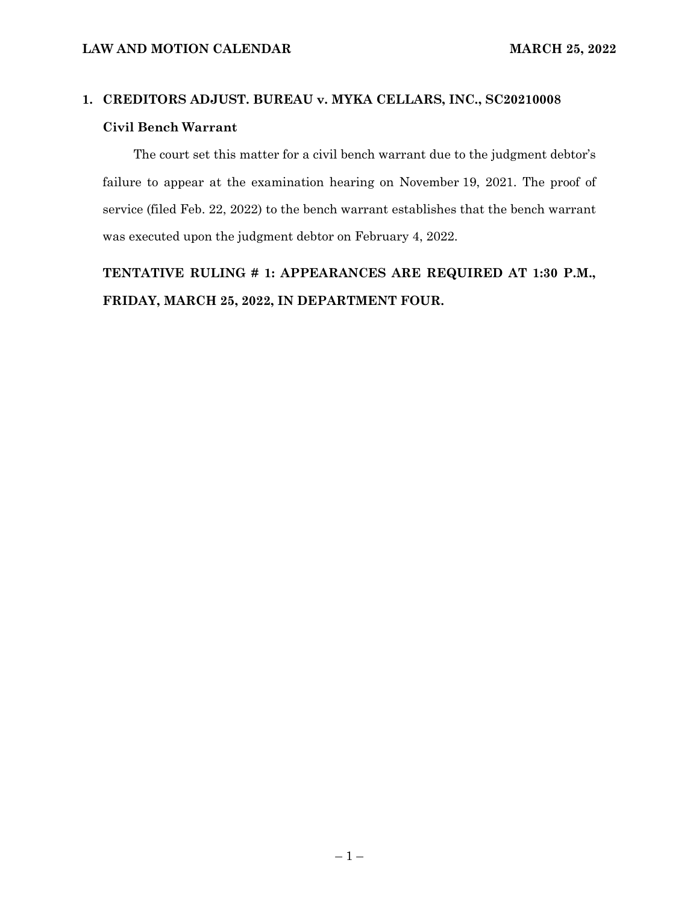#### **1. CREDITORS ADJUST. BUREAU v. MYKA CELLARS, INC., SC20210008 Civil Bench Warrant**

The court set this matter for a civil bench warrant due to the judgment debtor's failure to appear at the examination hearing on November 19, 2021. The proof of service (filed Feb. 22, 2022) to the bench warrant establishes that the bench warrant was executed upon the judgment debtor on February 4, 2022.

**TENTATIVE RULING # 1: APPEARANCES ARE REQUIRED AT 1:30 P.M., FRIDAY, MARCH 25, 2022, IN DEPARTMENT FOUR.**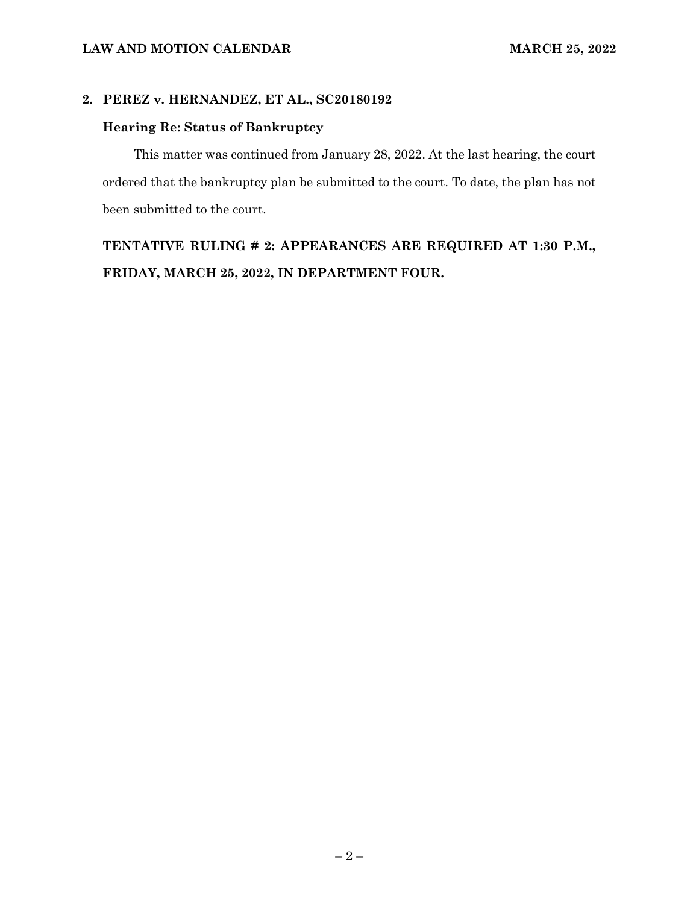#### **2. PEREZ v. HERNANDEZ, ET AL., SC20180192**

#### **Hearing Re: Status of Bankruptcy**

This matter was continued from January 28, 2022. At the last hearing, the court ordered that the bankruptcy plan be submitted to the court. To date, the plan has not been submitted to the court.

### **TENTATIVE RULING # 2: APPEARANCES ARE REQUIRED AT 1:30 P.M., FRIDAY, MARCH 25, 2022, IN DEPARTMENT FOUR.**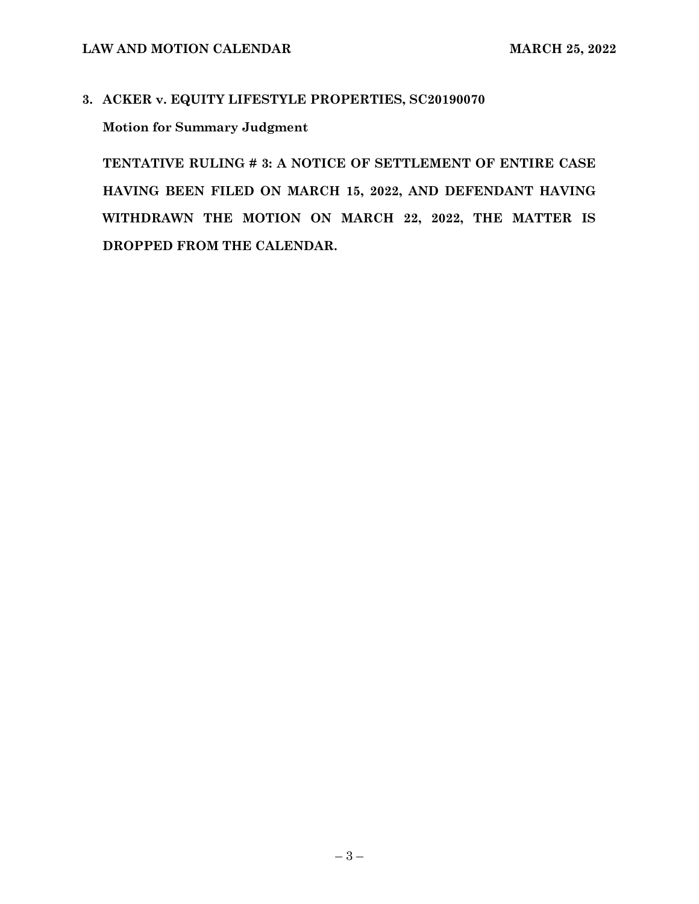# **3. ACKER v. EQUITY LIFESTYLE PROPERTIES, SC20190070 Motion for Summary Judgment**

**TENTATIVE RULING # 3: A NOTICE OF SETTLEMENT OF ENTIRE CASE HAVING BEEN FILED ON MARCH 15, 2022, AND DEFENDANT HAVING WITHDRAWN THE MOTION ON MARCH 22, 2022, THE MATTER IS DROPPED FROM THE CALENDAR.**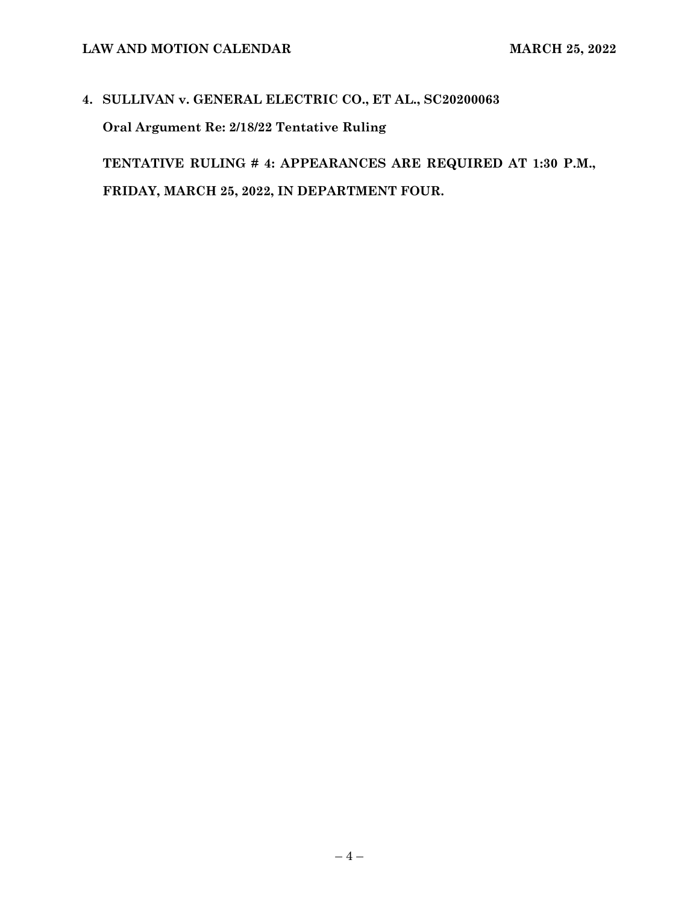# **4. SULLIVAN v. GENERAL ELECTRIC CO., ET AL., SC20200063 Oral Argument Re: 2/18/22 Tentative Ruling**

**TENTATIVE RULING # 4: APPEARANCES ARE REQUIRED AT 1:30 P.M., FRIDAY, MARCH 25, 2022, IN DEPARTMENT FOUR.**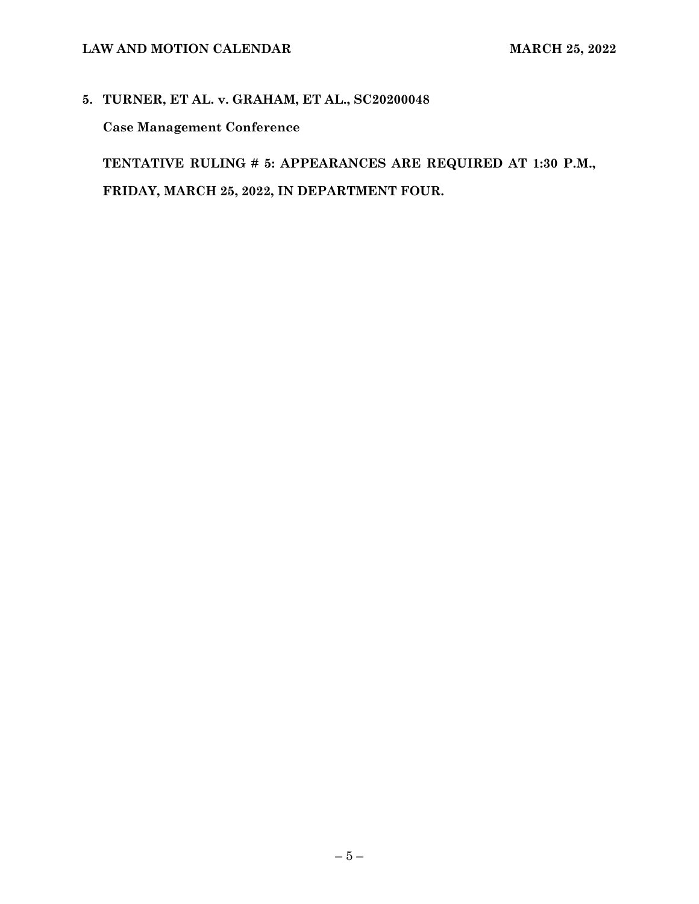# **5. TURNER, ET AL. v. GRAHAM, ET AL., SC20200048**

**Case Management Conference**

**TENTATIVE RULING # 5: APPEARANCES ARE REQUIRED AT 1:30 P.M., FRIDAY, MARCH 25, 2022, IN DEPARTMENT FOUR.**